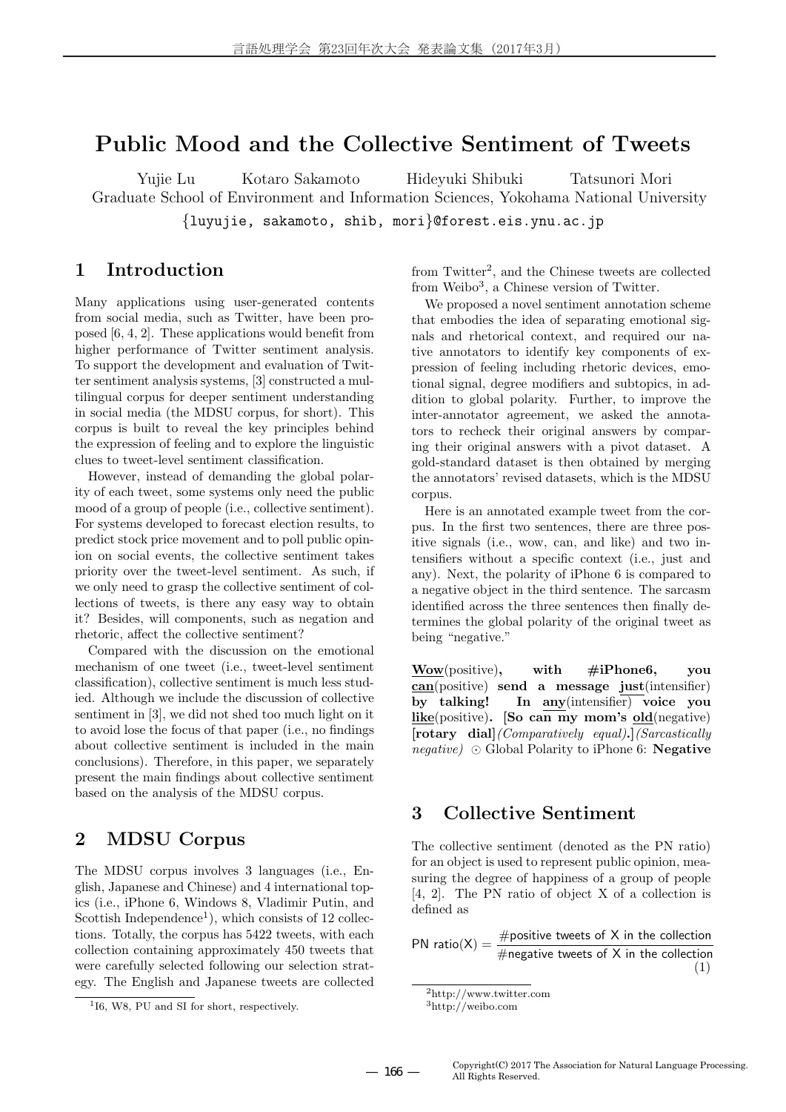# **Public Mood and the Collective Sentiment of Tweets**

Yujie Lu Kotaro Sakamoto Hideyuki Shibuki Tatsunori Mori Graduate School of Environment and Information Sciences, Yokohama National University *{*luyujie, sakamoto, shib, mori*}*@forest.eis.ynu.ac.jp

### **1 Introduction**

Many applications using user-generated contents from social media, such as Twitter, have been proposed [6, 4, 2]. These applications would benefit from higher performance of Twitter sentiment analysis. To support the development and evaluation of Twitter sentiment analysis systems, [3] constructed a multilingual corpus for deeper sentiment understanding in social media (the MDSU corpus, for short). This corpus is built to reveal the key principles behind the expression of feeling and to explore the linguistic clues to tweet-level sentiment classification.

However, instead of demanding the global polarity of each tweet, some systems only need the public mood of a group of people (i.e., collective sentiment). For systems developed to forecast election results, to predict stock price movement and to poll public opinion on social events, the collective sentiment takes priority over the tweet-level sentiment. As such, if we only need to grasp the collective sentiment of collections of tweets, is there any easy way to obtain it? Besides, will components, such as negation and rhetoric, affect the collective sentiment?

Compared with the discussion on the emotional mechanism of one tweet (i.e., tweet-level sentiment classification), collective sentiment is much less studied. Although we include the discussion of collective sentiment in [3], we did not shed too much light on it to avoid lose the focus of that paper (i.e., no findings about collective sentiment is included in the main conclusions). Therefore, in this paper, we separately present the main findings about collective sentiment based on the analysis of the MDSU corpus.

## **2 MDSU Corpus**

The MDSU corpus involves 3 languages (i.e., English, Japanese and Chinese) and 4 international topics (i.e., iPhone 6, Windows 8, Vladimir Putin, and Scottish Independence<sup>1</sup>), which consists of  $12$  collections. Totally, the corpus has 5422 tweets, with each collection containing approximately 450 tweets that were carefully selected following our selection strategy. The English and Japanese tweets are collected from Twitter<sup>2</sup>, and the Chinese tweets are collected from Weibo<sup>3</sup>, a Chinese version of Twitter.

We proposed a novel sentiment annotation scheme that embodies the idea of separating emotional signals and rhetorical context, and required our native annotators to identify key components of expression of feeling including rhetoric devices, emotional signal, degree modifiers and subtopics, in addition to global polarity. Further, to improve the inter-annotator agreement, we asked the annotators to recheck their original answers by comparing their original answers with a pivot dataset. A gold-standard dataset is then obtained by merging the annotators' revised datasets, which is the MDSU corpus.

Here is an annotated example tweet from the corpus. In the first two sentences, there are three positive signals (i.e., wow, can, and like) and two intensifiers without a specific context (i.e., just and any). Next, the polarity of iPhone 6 is compared to a negative object in the third sentence. The sarcasm identified across the three sentences then finally determines the global polarity of the original tweet as being "negative."

**Wow**(positive)**, with #iPhone6, you can**(positive) **send a message just**(intensifier) **by talking! In any**(intensifier) **voice you like**(positive)**. [So can my mom's old**(negative) **[rotary dial]***(Comparatively equal)***.]***(Sarcastically negative) ⊙* Global Polarity to iPhone 6: **Negative**

### **3 Collective Sentiment**

The collective sentiment (denoted as the PN ratio) for an object is used to represent public opinion, measuring the degree of happiness of a group of people [4, 2]. The PN ratio of object X of a collection is defined as

PN ratio(X) =  $\frac{\text{#positive tweets of X in the collection}}{\text{#negative tweets of X in the collection}}$ (1)

<sup>1</sup> I6, W8, PU and SI for short, respectively.

<sup>2</sup>http://www.twitter.com  $3$ http://weibo.com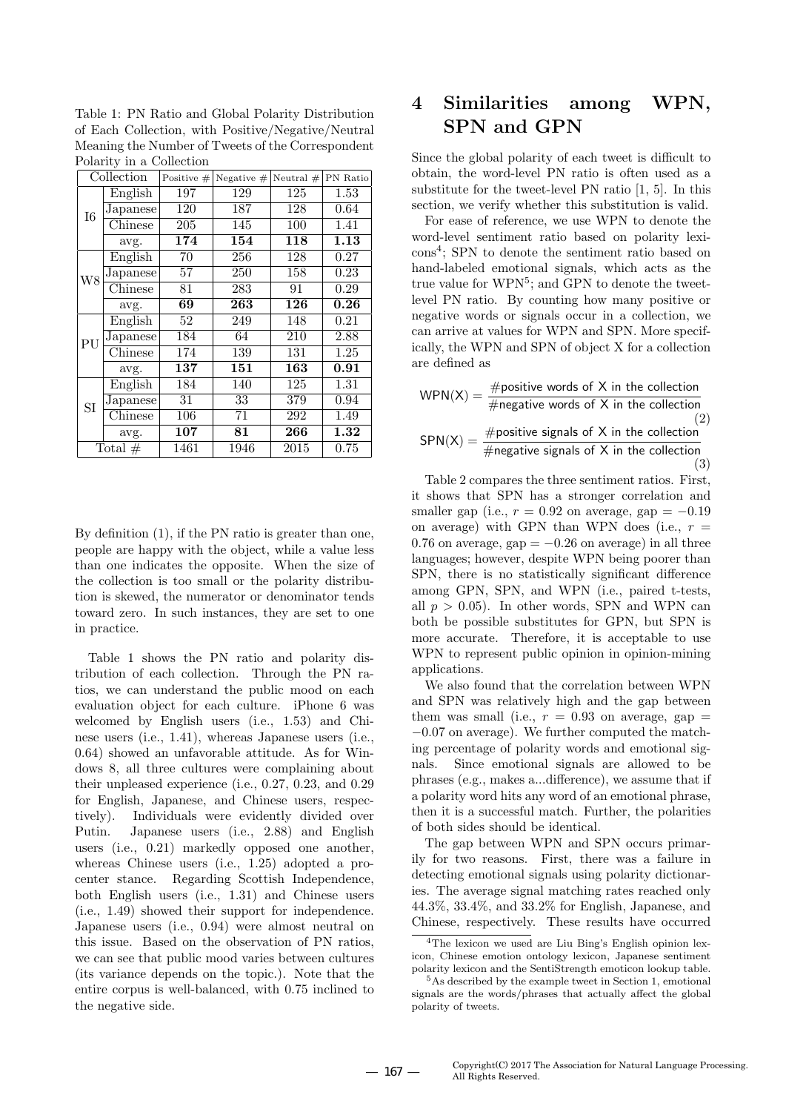|            | <b>1</b> order to y and correction |                 |              |             |                   |  |  |
|------------|------------------------------------|-----------------|--------------|-------------|-------------------|--|--|
| Collection |                                    | Positive $#$    | Negative $#$ | Neutral $#$ | PN Ratio          |  |  |
| I6         | English                            | 197             | 129          | 125         | 1.53              |  |  |
|            | Japanese                           | 120             | 187          | 128         | 0.64              |  |  |
|            | $\overline{\text{Chinese}}$        | 205             | 145          | 100         | 1.41              |  |  |
|            | avg.                               | 174             | 154          | 118         | 1.13              |  |  |
| W8         | English                            | 70              | 256          | 128         | 0.27              |  |  |
|            | Japanese                           | $\overline{57}$ | 250          | 158         | 0.23              |  |  |
|            | Chinese                            | 81              | 283          | 91          | 0.29              |  |  |
|            | avg.                               | 69              | 263          | 126         | 0.26              |  |  |
|            | English                            | 52              | 249          | 148         | 0.21              |  |  |
| PU         | Japanese                           | 184             | 64           | 210         | 2.88              |  |  |
|            | Chinese                            | 174             | 139          | 131         | 1.25              |  |  |
|            | avg.                               | 137             | 151          | 163         | 0.91              |  |  |
| <b>SI</b>  | English                            | 184             | 140          | 125         | 1.31              |  |  |
|            | Japanese                           | 31              | 33           | 379         | 0.94              |  |  |
|            | Chinese                            | 106             | 71           | 292         | 1.49              |  |  |
|            | avg.                               | 107             | 81           | 266         | $\overline{1.32}$ |  |  |
| Total $#$  |                                    | 1461            | 1946         | 2015        | 0.75              |  |  |

Table 1: PN Ratio and Global Polarity Distribution of Each Collection, with Positive/Negative/Neutral Meaning the Number of Tweets of the Correspondent Polarity in a Collection

By definition (1), if the PN ratio is greater than one, people are happy with the object, while a value less than one indicates the opposite. When the size of the collection is too small or the polarity distribution is skewed, the numerator or denominator tends toward zero. In such instances, they are set to one in practice.

Table 1 shows the PN ratio and polarity distribution of each collection. Through the PN ratios, we can understand the public mood on each evaluation object for each culture. iPhone 6 was welcomed by English users (i.e., 1.53) and Chinese users (i.e., 1.41), whereas Japanese users (i.e., 0.64) showed an unfavorable attitude. As for Windows 8, all three cultures were complaining about their unpleased experience (i.e., 0.27, 0.23, and 0.29 for English, Japanese, and Chinese users, respectively). Individuals were evidently divided over Putin. Japanese users (i.e., 2.88) and English users (i.e., 0.21) markedly opposed one another, whereas Chinese users (i.e., 1.25) adopted a procenter stance. Regarding Scottish Independence, both English users (i.e., 1.31) and Chinese users (i.e., 1.49) showed their support for independence. Japanese users (i.e., 0.94) were almost neutral on this issue. Based on the observation of PN ratios, we can see that public mood varies between cultures (its variance depends on the topic.). Note that the entire corpus is well-balanced, with 0.75 inclined to the negative side.

# **4 Similarities among WPN, SPN and GPN**

Since the global polarity of each tweet is difficult to obtain, the word-level PN ratio is often used as a substitute for the tweet-level PN ratio [1, 5]. In this section, we verify whether this substitution is valid.

For ease of reference, we use WPN to denote the word-level sentiment ratio based on polarity lexicons<sup>4</sup> ; SPN to denote the sentiment ratio based on hand-labeled emotional signals, which acts as the true value for WPN<sup>5</sup>; and GPN to denote the tweetlevel PN ratio. By counting how many positive or negative words or signals occur in a collection, we can arrive at values for WPN and SPN. More specifically, the WPN and SPN of object X for a collection are defined as

$$
WPN(X) = \frac{\text{#positive words of X in the collection}}{\text{#negative words of X in the collection}} (2)
$$
\n
$$
SPN(X) = \frac{\text{#positive signals of X in the collection}}{\text{#negative signals of X in the collection}} (3)
$$

Table 2 compares the three sentiment ratios. First, it shows that SPN has a stronger correlation and smaller gap (i.e.,  $r = 0.92$  on average, gap =  $-0.19$ on average) with GPN than WPN does (i.e.,  $r =$ 0.76 on average, gap = *−*0.26 on average) in all three languages; however, despite WPN being poorer than SPN, there is no statistically significant difference among GPN, SPN, and WPN (i.e., paired t-tests, all  $p > 0.05$ ). In other words, SPN and WPN can both be possible substitutes for GPN, but SPN is more accurate. Therefore, it is acceptable to use WPN to represent public opinion in opinion-mining applications.

We also found that the correlation between WPN and SPN was relatively high and the gap between them was small (i.e.,  $r = 0.93$  on average, gap  $=$ *−*0.07 on average). We further computed the matching percentage of polarity words and emotional signals. Since emotional signals are allowed to be phrases (e.g., makes a...difference), we assume that if a polarity word hits any word of an emotional phrase, then it is a successful match. Further, the polarities of both sides should be identical.

The gap between WPN and SPN occurs primarily for two reasons. First, there was a failure in detecting emotional signals using polarity dictionaries. The average signal matching rates reached only 44.3%, 33.4%, and 33.2% for English, Japanese, and Chinese, respectively. These results have occurred

<sup>4</sup>The lexicon we used are Liu Bing's English opinion lexicon, Chinese emotion ontology lexicon, Japanese sentiment polarity lexicon and the SentiStrength emoticon lookup table.

<sup>5</sup>As described by the example tweet in Section 1, emotional signals are the words/phrases that actually affect the global polarity of tweets.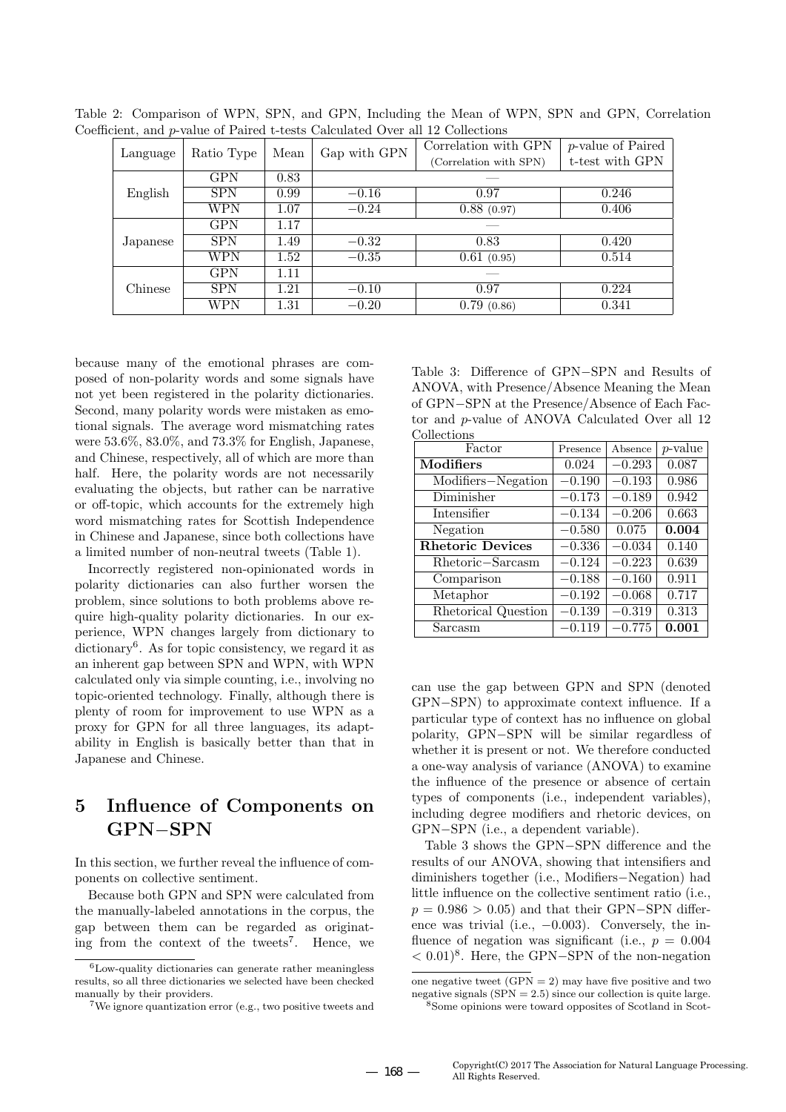| exempt which position of a whole concern concentration of the was as conference |            |      |              |                        |                           |  |
|---------------------------------------------------------------------------------|------------|------|--------------|------------------------|---------------------------|--|
| Language                                                                        | Ratio Type | Mean | Gap with GPN | Correlation with GPN   | <i>p</i> -value of Paired |  |
|                                                                                 |            |      |              | (Correlation with SPN) | t-test with GPN           |  |
| English                                                                         | <b>GPN</b> | 0.83 |              |                        |                           |  |
|                                                                                 | <b>SPN</b> | 0.99 | $-0.16$      | 0.97                   | 0.246                     |  |
|                                                                                 | WPN        | 1.07 | $-0.24$      | 0.88(0.97)             | 0.406                     |  |
|                                                                                 | <b>GPN</b> | 1.17 |              |                        |                           |  |
| Japanese                                                                        | <b>SPN</b> | 1.49 | $-0.32$      | 0.83                   | 0.420                     |  |
|                                                                                 | WPN        | 1.52 | $-0.35$      | 0.61(0.95)             | 0.514                     |  |
| Chinese                                                                         | <b>GPN</b> | 1.11 |              |                        |                           |  |
|                                                                                 | <b>SPN</b> | 1.21 | $-0.10$      | 0.97                   | 0.224                     |  |
|                                                                                 | WPN        | 1.31 | $-0.20$      | 0.79(0.86)             | 0.341                     |  |

Table 2: Comparison of WPN, SPN, and GPN, Including the Mean of WPN, SPN and GPN, Correlation Coefficient, and *p*-value of Paired t-tests Calculated Over all 12 Collections

because many of the emotional phrases are composed of non-polarity words and some signals have not yet been registered in the polarity dictionaries. Second, many polarity words were mistaken as emotional signals. The average word mismatching rates were 53.6%, 83.0%, and 73.3% for English, Japanese, and Chinese, respectively, all of which are more than half. Here, the polarity words are not necessarily evaluating the objects, but rather can be narrative or off-topic, which accounts for the extremely high word mismatching rates for Scottish Independence in Chinese and Japanese, since both collections have a limited number of non-neutral tweets (Table 1).

Incorrectly registered non-opinionated words in polarity dictionaries can also further worsen the problem, since solutions to both problems above require high-quality polarity dictionaries. In our experience, WPN changes largely from dictionary to dictionary<sup>6</sup>. As for topic consistency, we regard it as an inherent gap between SPN and WPN, with WPN calculated only via simple counting, i.e., involving no topic-oriented technology. Finally, although there is plenty of room for improvement to use WPN as a proxy for GPN for all three languages, its adaptability in English is basically better than that in Japanese and Chinese.

# **5 Influence of Components on GPN***−***SPN**

In this section, we further reveal the influence of components on collective sentiment.

Because both GPN and SPN were calculated from the manually-labeled annotations in the corpus, the gap between them can be regarded as originating from the context of the tweets<sup>7</sup> . Hence, we

Table 3: Difference of GPN*−*SPN and Results of ANOVA, with Presence/Absence Meaning the Mean of GPN*−*SPN at the Presence/Absence of Each Factor and *p*-value of ANOVA Calculated Over all 12 Collections

| Factor                  | Presence | Absence  | $p$ -value |
|-------------------------|----------|----------|------------|
| Modifiers               | 0.024    | $-0.293$ | 0.087      |
| Modifiers-Negation      | $-0.190$ | $-0.193$ | 0.986      |
| Diminisher              | $-0.173$ | $-0.189$ | 0.942      |
| Intensifier             | $-0.134$ | $-0.206$ | 0.663      |
| Negation                | $-0.580$ | 0.075    | 0.004      |
| <b>Rhetoric Devices</b> | $-0.336$ | $-0.034$ | 0.140      |
| Rhetoric-Sarcasm        | $-0.124$ | $-0.223$ | 0.639      |
| Comparison              | $-0.188$ | $-0.160$ | 0.911      |
| Metaphor                | $-0.192$ | $-0.068$ | 0.717      |
| Rhetorical Question     | $-0.139$ | $-0.319$ | 0.313      |
| Sarcasm                 | $-0.119$ | $-0.775$ | 0.001      |

can use the gap between GPN and SPN (denoted GPN*−*SPN) to approximate context influence. If a particular type of context has no influence on global polarity, GPN*−*SPN will be similar regardless of whether it is present or not. We therefore conducted a one-way analysis of variance (ANOVA) to examine the influence of the presence or absence of certain types of components (i.e., independent variables), including degree modifiers and rhetoric devices, on GPN*−*SPN (i.e., a dependent variable).

Table 3 shows the GPN*−*SPN difference and the results of our ANOVA, showing that intensifiers and diminishers together (i.e., Modifiers*−*Negation) had little influence on the collective sentiment ratio (i.e., *p* = 0.986 > 0.05) and that their GPN−SPN difference was trivial (i.e., *−*0.003). Conversely, the influence of negation was significant (i.e.,  $p = 0.004$ ) *<* 0.01)<sup>8</sup> . Here, the GPN*−*SPN of the non-negation

 ${}^{6}$ Low-quality dictionaries can generate rather meaningless results, so all three dictionaries we selected have been checked manually by their providers.

<sup>7</sup>We ignore quantization error (e.g., two positive tweets and

one negative tweet  $(GPN = 2)$  may have five positive and two negative signals  $(SPN = 2.5)$  since our collection is quite large.

<sup>8</sup>Some opinions were toward opposites of Scotland in Scot-